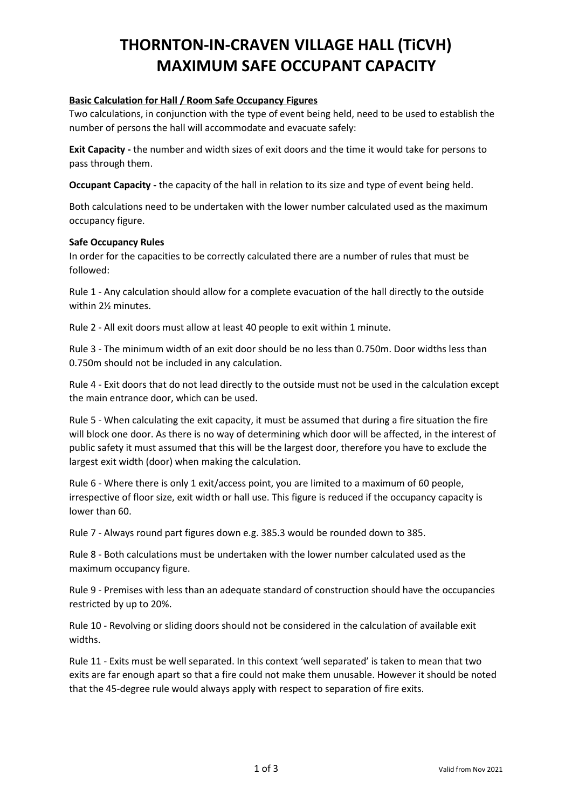## **THORNTON-IN-CRAVEN VILLAGE HALL (TiCVH) MAXIMUM SAFE OCCUPANT CAPACITY**

## **Basic Calculation for Hall / Room Safe Occupancy Figures**

Two calculations, in conjunction with the type of event being held, need to be used to establish the number of persons the hall will accommodate and evacuate safely:

**Exit Capacity -** the number and width sizes of exit doors and the time it would take for persons to pass through them.

**Occupant Capacity -** the capacity of the hall in relation to its size and type of event being held.

Both calculations need to be undertaken with the lower number calculated used as the maximum occupancy figure.

#### **Safe Occupancy Rules**

In order for the capacities to be correctly calculated there are a number of rules that must be followed:

Rule 1 - Any calculation should allow for a complete evacuation of the hall directly to the outside within 2½ minutes.

Rule 2 - All exit doors must allow at least 40 people to exit within 1 minute.

Rule 3 - The minimum width of an exit door should be no less than 0.750m. Door widths less than 0.750m should not be included in any calculation.

Rule 4 - Exit doors that do not lead directly to the outside must not be used in the calculation except the main entrance door, which can be used.

Rule 5 - When calculating the exit capacity, it must be assumed that during a fire situation the fire will block one door. As there is no way of determining which door will be affected, in the interest of public safety it must assumed that this will be the largest door, therefore you have to exclude the largest exit width (door) when making the calculation.

Rule 6 - Where there is only 1 exit/access point, you are limited to a maximum of 60 people, irrespective of floor size, exit width or hall use. This figure is reduced if the occupancy capacity is lower than 60.

Rule 7 - Always round part figures down e.g. 385.3 would be rounded down to 385.

Rule 8 - Both calculations must be undertaken with the lower number calculated used as the maximum occupancy figure.

Rule 9 - Premises with less than an adequate standard of construction should have the occupancies restricted by up to 20%.

Rule 10 - Revolving or sliding doors should not be considered in the calculation of available exit widths.

Rule 11 - Exits must be well separated. In this context 'well separated' is taken to mean that two exits are far enough apart so that a fire could not make them unusable. However it should be noted that the 45-degree rule would always apply with respect to separation of fire exits.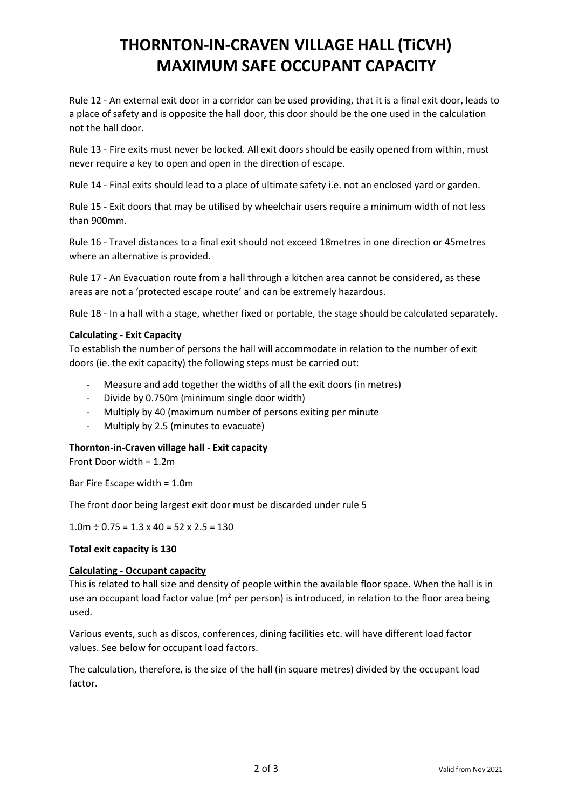# **THORNTON-IN-CRAVEN VILLAGE HALL (TiCVH) MAXIMUM SAFE OCCUPANT CAPACITY**

Rule 12 - An external exit door in a corridor can be used providing, that it is a final exit door, leads to a place of safety and is opposite the hall door, this door should be the one used in the calculation not the hall door.

Rule 13 - Fire exits must never be locked. All exit doors should be easily opened from within, must never require a key to open and open in the direction of escape.

Rule 14 - Final exits should lead to a place of ultimate safety i.e. not an enclosed yard or garden.

Rule 15 - Exit doors that may be utilised by wheelchair users require a minimum width of not less than 900mm.

Rule 16 - Travel distances to a final exit should not exceed 18metres in one direction or 45metres where an alternative is provided.

Rule 17 - An Evacuation route from a hall through a kitchen area cannot be considered, as these areas are not a 'protected escape route' and can be extremely hazardous.

Rule 18 - In a hall with a stage, whether fixed or portable, the stage should be calculated separately.

### **Calculating - Exit Capacity**

To establish the number of persons the hall will accommodate in relation to the number of exit doors (ie. the exit capacity) the following steps must be carried out:

- Measure and add together the widths of all the exit doors (in metres)
- Divide by 0.750m (minimum single door width)
- Multiply by 40 (maximum number of persons exiting per minute
- Multiply by 2.5 (minutes to evacuate)

#### **Thornton-in-Craven village hall - Exit capacity**

Front Door width = 1.2m

Bar Fire Escape width = 1.0m

The front door being largest exit door must be discarded under rule 5

 $1.0m \div 0.75 = 1.3 \times 40 = 52 \times 2.5 = 130$ 

#### **Total exit capacity is 130**

#### **Calculating - Occupant capacity**

This is related to hall size and density of people within the available floor space. When the hall is in use an occupant load factor value ( $m<sup>2</sup>$  per person) is introduced, in relation to the floor area being used.

Various events, such as discos, conferences, dining facilities etc. will have different load factor values. See below for occupant load factors.

The calculation, therefore, is the size of the hall (in square metres) divided by the occupant load factor.